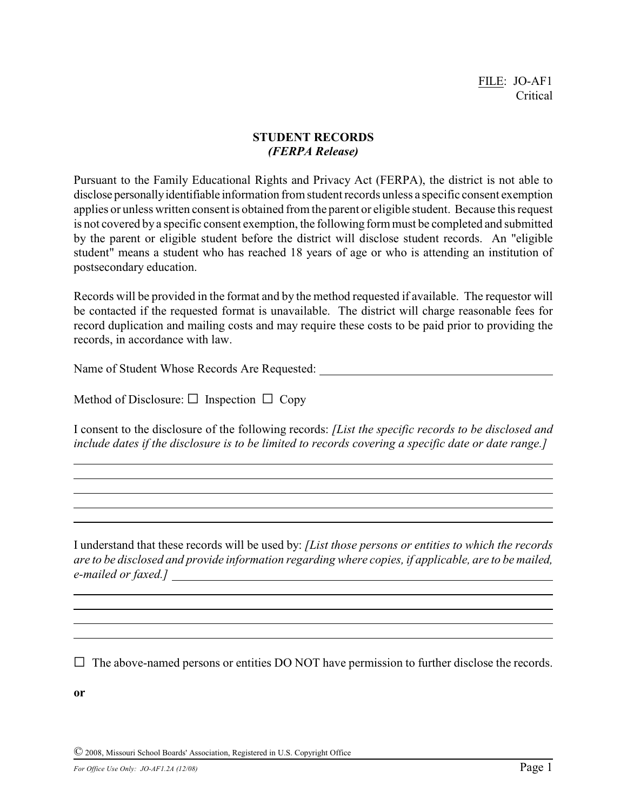## **STUDENT RECORDS** *(FERPA Release)*

Pursuant to the Family Educational Rights and Privacy Act (FERPA), the district is not able to disclose personally identifiable information from student records unless a specific consent exemption applies or unless written consent is obtained from the parent or eligible student. Because this request is not covered by a specific consent exemption, the following form must be completed and submitted by the parent or eligible student before the district will disclose student records. An "eligible student" means a student who has reached 18 years of age or who is attending an institution of postsecondary education.

Records will be provided in the format and by the method requested if available. The requestor will be contacted if the requested format is unavailable. The district will charge reasonable fees for record duplication and mailing costs and may require these costs to be paid prior to providing the records, in accordance with law.

Name of Student Whose Records Are Requested:

Method of Disclosure:  $\Box$  Inspection  $\Box$  Copy

I consent to the disclosure of the following records: *[List the specific records to be disclosed and include dates if the disclosure is to be limited to records covering a specific date or date range.]*

I understand that these records will be used by: *[List those persons or entities to which the records are to be disclosed and provide information regarding where copies, if applicable, are to be mailed, e-mailed or faxed.]*

 $\Box$  The above-named persons or entities DO NOT have permission to further disclose the records.

**or**

© 2008, Missouri School Boards' Association, Registered in U.S. Copyright Office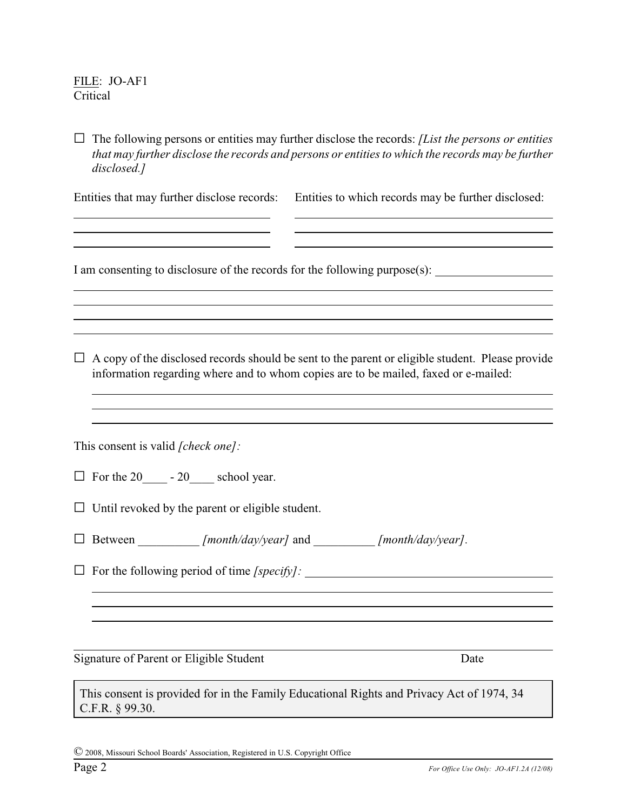FILE: JO-AF1 Critical

 $\overline{a}$ 

G The following persons or entities may further disclose the records: *[List the persons or entities that may further disclose the records and persons or entities to which the records may be further disclosed.]*

Entities that may further disclose records: Entities to which records may be further disclosed:

I am consenting to disclosure of the records for the following purpose(s):

 $\Box$  A copy of the disclosed records should be sent to the parent or eligible student. Please provide information regarding where and to whom copies are to be mailed, faxed or e-mailed:

This consent is valid *[check one]:*

 $\Box$  For the 20 - 20 school year.

 $\Box$  Until revoked by the parent or eligible student.

G Between \_\_\_\_\_\_\_\_\_\_ *[month/day/year]* and \_\_\_\_\_\_\_\_\_\_ *[month/day/year].*

 $\Box$  For the following period of time *[specify]*:

Signature of Parent or Eligible Student Date Date

This consent is provided for in the Family Educational Rights and Privacy Act of 1974, 34 C.F.R. § 99.30.

© 2008, Missouri School Boards' Association, Registered in U.S. Copyright Office